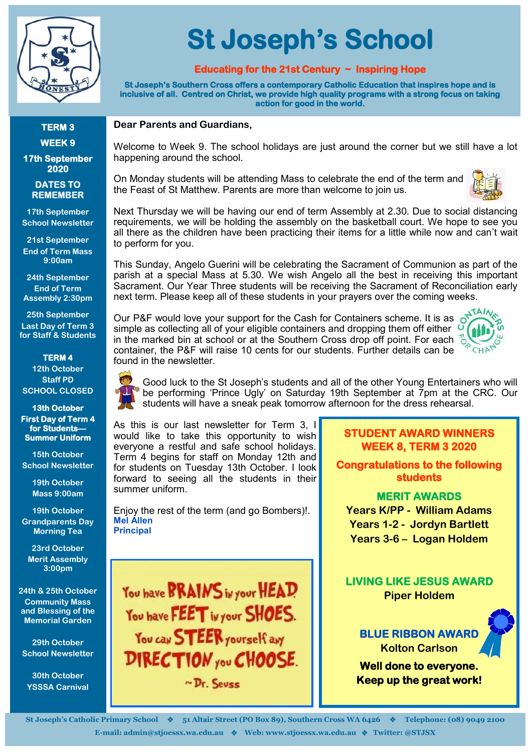

#### **TERM 3 WEEK 9**

**17th September 2020** 

#### **DATES TO REMEMBER**

**17th September School Newsletter**

**21st September End of Term Mass 9:00am**

**24th September End of Term Assembly 2:30pm**

**25th September Last Day of Term 3 for Staff & Students**

**TERM 4 12th October Staff PD SCHOOL CLOSED**

**13th October First Day of Term 4 for Students— Summer Uniform** 

**15th October School Newsletter**

> **19th October Mass 9:00am**

**19th October Grandparents Day Morning Tea**

**23rd October Merit Assembly 3:00pm**

**24th & 25th October Community Mass and Blessing of the Memorial Garden**

**29th October School Newsletter**

**30th October YSSSA Carnival**

# **St Joseph's School**

## **Educating for the 21st Century ~ Inspiring Hope**

**St Joseph's Southern Cross offers a contemporary Catholic Education that inspires hope and is inclusive of all. Centred on Christ, we provide high quality programs with a strong focus on taking action for good in the world.** 

#### **Dear Parents and Guardians,**

Welcome to Week 9. The school holidays are just around the corner but we still have a lot happening around the school.

On Monday students will be attending Mass to celebrate the end of the term and the Feast of St Matthew. Parents are more than welcome to join us.



Next Thursday we will be having our end of term Assembly at 2.30. Due to social distancing requirements, we will be holding the assembly on the basketball court. We hope to see you all there as the children have been practicing their items for a little while now and can't wait to perform for you.

This Sunday, Angelo Guerini will be celebrating the Sacrament of Communion as part of the parish at a special Mass at 5.30. We wish Angelo all the best in receiving this important Sacrament. Our Year Three students will be receiving the Sacrament of Reconciliation early next term. Please keep all of these students in your prayers over the coming weeks.

Our P&F would love your support for the Cash for Containers scheme. It is as on the cimple as collecting all of simple as collecting all of your eligible containers and dropping them off either  $\overline{O}$ in the marked bin at school or at the Southern Cross drop off point. For each  $\frac{1}{6}$ container, the P&F will raise 10 cents for our students. Further details can be found in the newsletter.



Good luck to the St Joseph's students and all of the other Young Entertainers who will be performing 'Prince Ugly' on Saturday 19th September at 7pm at the CRC. Our students will have a sneak peak tomorrow afternoon for the dress rehearsal.

As this is our last newsletter for Term 3, I would like to take this opportunity to wish everyone a restful and safe school holidays. Term 4 begins for staff on Monday 12th and for students on Tuesday 13th October. I look forward to seeing all the students in their summer uniform.

Enjoy the rest of the term (and go Bombers)!. **Mel Allen Principal**

You have **BRAINS** in your HEAD You have FEET in your SHOES. You can STEER yourself any DIRECTION you CHOOSE.  $\sim$  Dr. Sevee

#### **STUDENT AWARD WINNERS WEEK 8, TERM 3 2020**

**Congratulations to the following students** 

**MERIT AWARDS Years K/PP - William Adams Years 1-2 - Jordyn Bartlett Years 3-6 – Logan Holdem**

**LIVING LIKE JESUS AWARD Piper Holdem**

**BLUE RIBBON AWAR Kolton Carlson** 

**Well done to everyone. Keep up the great work!**

**St Joseph's Catholic Primary School** ❖ **51 Altair Street (PO Box 89), Southern Cross WA 6426** ❖ **Telephone: (08) 9049 2100 E-mail: admin@stjoessx.wa.edu.au** ❖ **Web: www.stjoessx.wa.edu.au** ❖ **Twitter: @STJSX**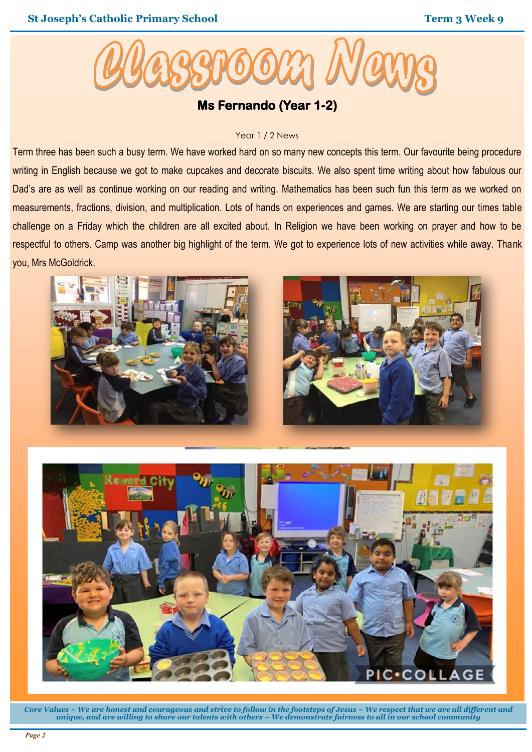

# **Ms Fernando (Year 1-2)**

#### Year 1 / 2 News

Term three has been such a busy term. We have worked hard on so many new concepts this term. Our favourite being procedure writing in English because we got to make cupcakes and decorate biscuits. We also spent time writing about how fabulous our Dad's are as well as continue working on our reading and writing. Mathematics has been such fun this term as we worked on measurements, fractions, division, and multiplication. Lots of hands on experiences and games. We are starting our times table challenge on a Friday which the children are all excited about. In Religion we have been working on prayer and how to be respectful to others. Camp was another big highlight of the term. We got to experience lots of new activities while away. Thank you, Mrs McGoldrick.





*Core Values ~ We are honest and courageous and strive to follow in the footsteps of Jesus ~ We respect that we are all different and unique, and are willing to share our talents with others ~ We demonstrate fairness to all in our school community*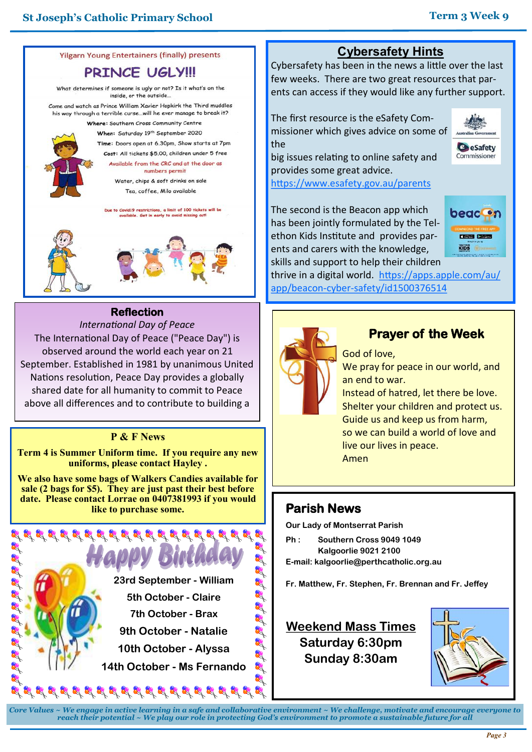

#### **PRINCE UGLY!!!**

What determines if someone is ugly or not? Is it what's on the inside, or the outside.

Come and watch as Prince William Xavier Hopkirk the Third muddles his way through a terrible curse...will he ever manage to break it?

Where: Southern Cross Community Centre When: Saturday 19<sup>th</sup> September 2020 Time: Doors open at 6.30pm, Show starts at 7pm Cost: All tickets \$5.00, children under 5 free Available from the CRC and at the door as numbers permit

Water, chips & soft drinks on sale Tea, coffee, Milo available

e to Covid19 restrictions, a limit of 100 tickets will be<br>available. Get in early to avoid missing outl



## **Reflection**

*International Day of Peace* The International Day of Peace ("Peace Day") is observed around the world each year on 21 September. Established in 1981 by unanimous United Nations resolution, Peace Day provides a globally shared date for all humanity to commit to Peace above all differences and to contribute to building a

#### **P & F News**

**Term 4 is Summer Uniform time. If you require any new uniforms, please contact Hayley .**

**We also have some bags of Walkers Candies available for sale (2 bags for \$5). They are just past their best before date. Please contact Lorrae on 0407381993 if you would like to purchase some.**



# **Cybersafety Hints**

Cybersafety has been in the news a little over the last few weeks. There are two great resources that parents can access if they would like any further support.

The first resource is the eSafety Commissioner which gives advice on some of the

**C**eSafety Commissioner big issues relating to online safety and

provides some great advice.

<https://www.esafety.gov.au/parents>

The second is the Beacon app which has been jointly formulated by the Telethon Kids Institute and provides parents and carers with the knowledge, skills and support to help their children



thrive in a digital world. [https://apps.apple.com/au/](https://apps.apple.com/au/app/beacon-cyber-safety/id1500376514) app/beacon-cyber-[safety/id1500376514](https://apps.apple.com/au/app/beacon-cyber-safety/id1500376514)



# **Prayer of the Week**

God of love,

We pray for peace in our world, and an end to war.

Instead of hatred, let there be love. Shelter your children and protect us. Guide us and keep us from harm, so we can build a world of love and live our lives in peace. Amen

## **Parish News**

**Our Lady of Montserrat Parish**

- **Ph : Southern Cross 9049 1049 Kalgoorlie 9021 2100**
- **E-mail: kalgoorlie@perthcatholic.org.au**

# **Weekend Mass Times Saturday 6:30pm Sunday 8:30am**



*Core Values ~ We engage in active learning in a safe and collaborative environment ~ We challenge, motivate and encourage everyone to reach their potential ~ We play our role in protecting God's environment to promote a sustainable future for all*